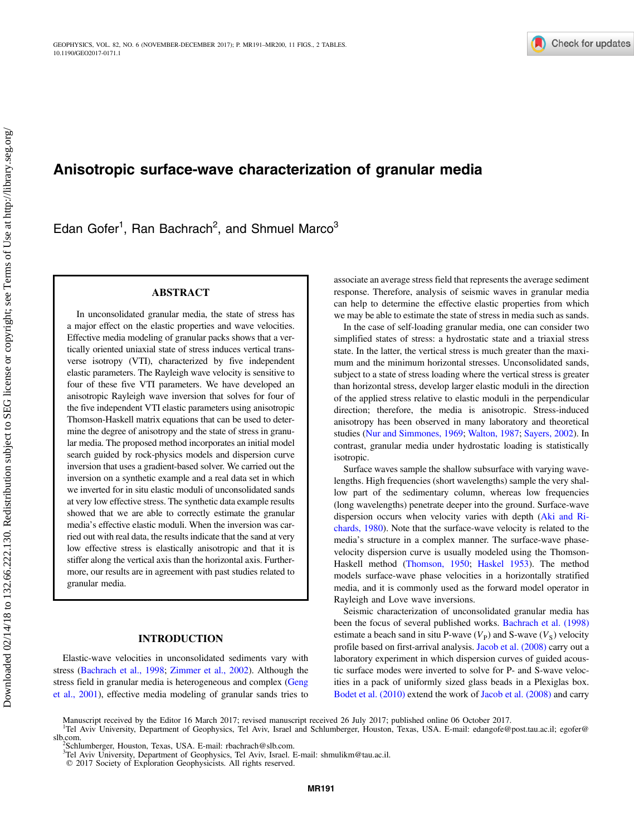

# Anisotropic surface-wave characterization of granular media

Edan Gofer<sup>1</sup>, Ran Bachrach<sup>2</sup>, and Shmuel Marco<sup>3</sup>

## ABSTRACT

In unconsolidated granular media, the state of stress has a major effect on the elastic properties and wave velocities. Effective media modeling of granular packs shows that a vertically oriented uniaxial state of stress induces vertical transverse isotropy (VTI), characterized by five independent elastic parameters. The Rayleigh wave velocity is sensitive to four of these five VTI parameters. We have developed an anisotropic Rayleigh wave inversion that solves for four of the five independent VTI elastic parameters using anisotropic Thomson-Haskell matrix equations that can be used to determine the degree of anisotropy and the state of stress in granular media. The proposed method incorporates an initial model search guided by rock-physics models and dispersion curve inversion that uses a gradient-based solver. We carried out the inversion on a synthetic example and a real data set in which we inverted for in situ elastic moduli of unconsolidated sands at very low effective stress. The synthetic data example results showed that we are able to correctly estimate the granular media's effective elastic moduli. When the inversion was carried out with real data, the results indicate that the sand at very low effective stress is elastically anisotropic and that it is stiffer along the vertical axis than the horizontal axis. Furthermore, our results are in agreement with past studies related to granular media.

# INTRODUCTION

Elastic-wave velocities in unconsolidated sediments vary with stress ([Bachrach et al., 1998;](#page-9-0) [Zimmer et al., 2002\)](#page-9-0). Although the stress field in granular media is heterogeneous and complex ([Geng](#page-9-0) [et al., 2001\)](#page-9-0), effective media modeling of granular sands tries to associate an average stress field that represents the average sediment response. Therefore, analysis of seismic waves in granular media can help to determine the effective elastic properties from which we may be able to estimate the state of stress in media such as sands.

In the case of self-loading granular media, one can consider two simplified states of stress: a hydrostatic state and a triaxial stress state. In the latter, the vertical stress is much greater than the maximum and the minimum horizontal stresses. Unconsolidated sands, subject to a state of stress loading where the vertical stress is greater than horizontal stress, develop larger elastic moduli in the direction of the applied stress relative to elastic moduli in the perpendicular direction; therefore, the media is anisotropic. Stress-induced anisotropy has been observed in many laboratory and theoretical studies ([Nur and Simmones, 1969;](#page-9-0) [Walton, 1987](#page-9-0); [Sayers, 2002](#page-9-0)). In contrast, granular media under hydrostatic loading is statistically isotropic.

Surface waves sample the shallow subsurface with varying wavelengths. High frequencies (short wavelengths) sample the very shallow part of the sedimentary column, whereas low frequencies (long wavelengths) penetrate deeper into the ground. Surface-wave dispersion occurs when velocity varies with depth ([Aki and Ri](#page-9-0)[chards, 1980\)](#page-9-0). Note that the surface-wave velocity is related to the media's structure in a complex manner. The surface-wave phasevelocity dispersion curve is usually modeled using the Thomson-Haskell method [\(Thomson, 1950;](#page-9-0) [Haskel 1953](#page-9-0)). The method models surface-wave phase velocities in a horizontally stratified media, and it is commonly used as the forward model operator in Rayleigh and Love wave inversions.

Seismic characterization of unconsolidated granular media has been the focus of several published works. [Bachrach et al. \(1998\)](#page-9-0) estimate a beach sand in situ P-wave  $(V_P)$  and S-wave  $(V_S)$  velocity profile based on first-arrival analysis. [Jacob et al. \(2008\)](#page-9-0) carry out a laboratory experiment in which dispersion curves of guided acoustic surface modes were inverted to solve for P- and S-wave velocities in a pack of uniformly sized glass beads in a Plexiglas box. [Bodet et al. \(2010\)](#page-9-0) extend the work of [Jacob et al. \(2008\)](#page-9-0) and carry

Manuscript received by the Editor 16 March 2017; revised manuscript received 26 July 2017; published online 06 October 2017.

<sup>&</sup>lt;sup>1</sup>Tel Aviv University, Department of Geophysics, Tel Aviv, Israel and Schlumberger, Houston, Texas, USA. E-mail: edangofe@post.tau.ac.il; egofer@  $slb$ .com.

Schlumberger, Houston, Texas, USA. E-mail: rbachrach@slb.com.

<sup>3</sup> Tel Aviv University, Department of Geophysics, Tel Aviv, Israel. E-mail: shmulikm@tau.ac.il. © 2017 Society of Exploration Geophysicists. All rights reserved.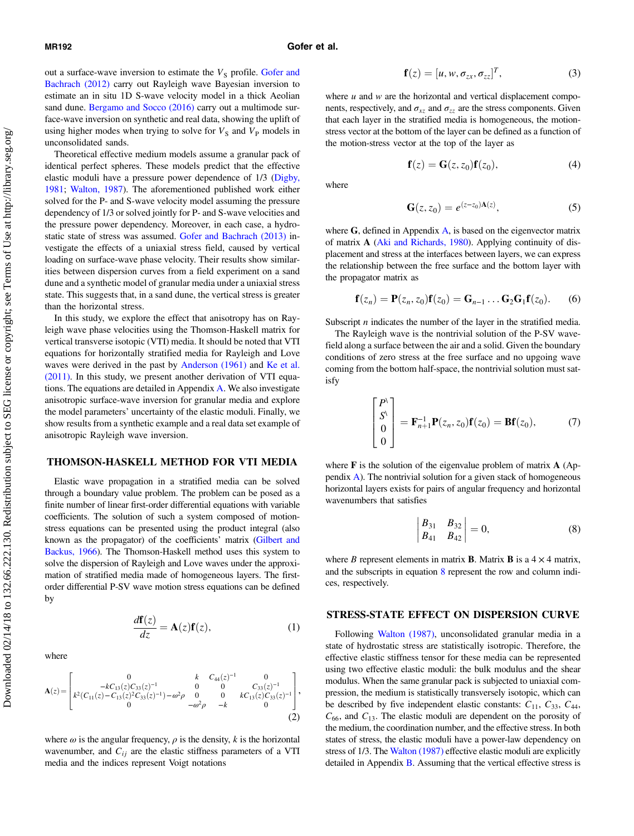out a surface-wave inversion to estimate the  $V<sub>S</sub>$  profile. [Gofer and](#page-9-0) [Bachrach \(2012\)](#page-9-0) carry out Rayleigh wave Bayesian inversion to estimate an in situ 1D S-wave velocity model in a thick Aeolian sand dune. [Bergamo and Socco \(2016\)](#page-9-0) carry out a multimode surface-wave inversion on synthetic and real data, showing the uplift of using higher modes when trying to solve for  $V<sub>S</sub>$  and  $V<sub>P</sub>$  models in unconsolidated sands.

Theoretical effective medium models assume a granular pack of identical perfect spheres. These models predict that the effective elastic moduli have a pressure power dependence of 1/3 ([Digby,](#page-9-0) [1981;](#page-9-0) [Walton, 1987](#page-9-0)). The aforementioned published work either solved for the P- and S-wave velocity model assuming the pressure dependency of 1/3 or solved jointly for P- and S-wave velocities and the pressure power dependency. Moreover, in each case, a hydrostatic state of stress was assumed. [Gofer and Bachrach \(2013\)](#page-9-0) investigate the effects of a uniaxial stress field, caused by vertical loading on surface-wave phase velocity. Their results show similarities between dispersion curves from a field experiment on a sand dune and a synthetic model of granular media under a uniaxial stress state. This suggests that, in a sand dune, the vertical stress is greater than the horizontal stress.

In this study, we explore the effect that anisotropy has on Rayleigh wave phase velocities using the Thomson-Haskell matrix for vertical transverse isotopic (VTI) media. It should be noted that VTI equations for horizontally stratified media for Rayleigh and Love waves were derived in the past by [Anderson \(1961\)](#page-9-0) and [Ke et al.](#page-9-0) [\(2011\).](#page-9-0) In this study, we present another derivation of VTI equations. The equations are detailed in Appendix [A](#page-7-0). We also investigate anisotropic surface-wave inversion for granular media and explore the model parameters' uncertainty of the elastic moduli. Finally, we show results from a synthetic example and a real data set example of anisotropic Rayleigh wave inversion.

#### THOMSON-HASKELL METHOD FOR VTI MEDIA

Elastic wave propagation in a stratified media can be solved through a boundary value problem. The problem can be posed as a finite number of linear first-order differential equations with variable coefficients. The solution of such a system composed of motionstress equations can be presented using the product integral (also known as the propagator) of the coefficients' matrix [\(Gilbert and](#page-9-0) [Backus, 1966\)](#page-9-0). The Thomson-Haskell method uses this system to solve the dispersion of Rayleigh and Love waves under the approximation of stratified media made of homogeneous layers. The firstorder differential P-SV wave motion stress equations can be defined by

where

$$
\frac{d\mathbf{f}(z)}{dz} = \mathbf{A}(z)\mathbf{f}(z),\tag{1}
$$

$$
\mathbf{A}(z) = \begin{bmatrix} 0 & k & C_{44}(z)^{-1} & 0 \\ -kC_{13}(z)C_{33}(z)^{-1} & 0 & 0 & C_{33}(z)^{-1} \\ k^{2}(C_{11}(z) - C_{13}(z)^{2}C_{33}(z)^{-1}) - \omega^{2}\rho & 0 & 0 & kC_{13}(z)C_{33}(z)^{-1} \\ 0 & -\omega^{2}\rho & -k & 0 \end{bmatrix},
$$
\n(2)

where  $\omega$  is the angular frequency,  $\rho$  is the density, k is the horizontal wavenumber, and  $C_{ij}$  are the elastic stiffness parameters of a VTI media and the indices represent Voigt notations

$$
\mathbf{f}(z) = [u, w, \sigma_{zx}, \sigma_{zz}]^T, \tag{3}
$$

where  $u$  and  $w$  are the horizontal and vertical displacement components, respectively, and  $\sigma_{xz}$  and  $\sigma_{zz}$  are the stress components. Given that each layer in the stratified media is homogeneous, the motionstress vector at the bottom of the layer can be defined as a function of the motion-stress vector at the top of the layer as

$$
\mathbf{f}(z) = \mathbf{G}(z, z_0) \mathbf{f}(z_0), \tag{4}
$$

where

$$
\mathbf{G}(z,z_0) = e^{(z-z_0)\mathbf{A}(z)},\tag{5}
$$

where  $G$ , defined in [A](#page-7-0)ppendix  $A$ , is based on the eigenvector matrix of matrix A [\(Aki and Richards, 1980](#page-9-0)). Applying continuity of displacement and stress at the interfaces between layers, we can express the relationship between the free surface and the bottom layer with the propagator matrix as

$$
\mathbf{f}(z_n) = \mathbf{P}(z_n, z_0)\mathbf{f}(z_0) = \mathbf{G}_{n-1} \dots \mathbf{G}_2\mathbf{G}_1\mathbf{f}(z_0).
$$
 (6)

Subscript  $n$  indicates the number of the layer in the stratified media.

The Rayleigh wave is the nontrivial solution of the P-SV wavefield along a surface between the air and a solid. Given the boundary conditions of zero stress at the free surface and no upgoing wave coming from the bottom half-space, the nontrivial solution must satisfy

$$
\begin{bmatrix} P^{\setminus} \\ S^{\setminus} \\ 0 \\ 0 \end{bmatrix} = \mathbf{F}_{n+1}^{-1} \mathbf{P}(z_n, z_0) \mathbf{f}(z_0) = \mathbf{B} \mathbf{f}(z_0), \tag{7}
$$

where **F** is the solution of the eigenvalue problem of matrix **A** (Appendix [A](#page-7-0)). The nontrivial solution for a given stack of homogeneous horizontal layers exists for pairs of angular frequency and horizontal wavenumbers that satisfies

$$
\begin{vmatrix} B_{31} & B_{32} \\ B_{41} & B_{42} \end{vmatrix} = 0, \tag{8}
$$

where B represent elements in matrix **B**. Matrix **B** is a  $4 \times 4$  matrix, and the subscripts in equation 8 represent the row and column indices, respectively.

#### STRESS-STATE EFFECT ON DISPERSION CURVE

Following [Walton \(1987\),](#page-9-0) unconsolidated granular media in a state of hydrostatic stress are statistically isotropic. Therefore, the effective elastic stiffness tensor for these media can be represented using two effective elastic moduli: the bulk modulus and the shear modulus. When the same granular pack is subjected to uniaxial compression, the medium is statistically transversely isotopic, which can be described by five independent elastic constants:  $C_{11}$ ,  $C_{33}$ ,  $C_{44}$ ,  $C_{66}$ , and  $C_{13}$ . The elastic moduli are dependent on the porosity of the medium, the coordination number, and the effective stress. In both states of stress, the elastic moduli have a power-law dependency on stress of 1/3. The [Walton \(1987\)](#page-9-0) effective elastic moduli are explicitly detailed in Appendix  $\overline{B}$  $\overline{B}$  $\overline{B}$ . Assuming that the vertical effective stress is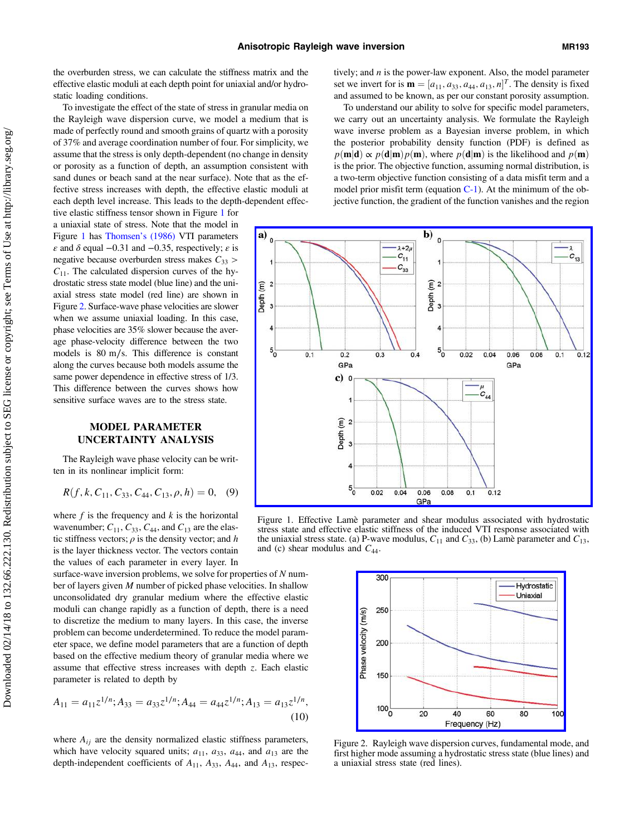the overburden stress, we can calculate the stiffness matrix and the effective elastic moduli at each depth point for uniaxial and/or hydrostatic loading conditions.

To investigate the effect of the state of stress in granular media on the Rayleigh wave dispersion curve, we model a medium that is made of perfectly round and smooth grains of quartz with a porosity of 37% and average coordination number of four. For simplicity, we assume that the stress is only depth-dependent (no change in density or porosity as a function of depth, an assumption consistent with sand dunes or beach sand at the near surface). Note that as the effective stress increases with depth, the effective elastic moduli at each depth level increase. This leads to the depth-dependent effec-

tive elastic stiffness tensor shown in Figure 1 for a uniaxial state of stress. Note that the model in Figure 1 has [Thomsen](#page-9-0)'s (1986) VTI parameters  $\varepsilon$  and  $\delta$  equal −0.31 and −0.35, respectively;  $\varepsilon$  is negative because overburden stress makes  $C_{33}$  >  $C_{11}$ . The calculated dispersion curves of the hydrostatic stress state model (blue line) and the uniaxial stress state model (red line) are shown in Figure 2. Surface-wave phase velocities are slower when we assume uniaxial loading. In this case, phase velocities are 35% slower because the average phase-velocity difference between the two models is 80 m∕s. This difference is constant along the curves because both models assume the same power dependence in effective stress of 1/3. This difference between the curves shows how sensitive surface waves are to the stress state.

# MODEL PARAMETER UNCERTAINTY ANALYSIS

The Rayleigh wave phase velocity can be written in its nonlinear implicit form:

$$
R(f, k, C_{11}, C_{33}, C_{44}, C_{13}, \rho, h) = 0, \quad (9)
$$

where  $f$  is the frequency and  $k$  is the horizontal wavenumber;  $C_{11}$ ,  $C_{33}$ ,  $C_{44}$ , and  $C_{13}$  are the elastic stiffness vectors;  $\rho$  is the density vector; and h is the layer thickness vector. The vectors contain the values of each parameter in every layer. In

surface-wave inversion problems, we solve for properties of  $N$  number of layers given M number of picked phase velocities. In shallow unconsolidated dry granular medium where the effective elastic moduli can change rapidly as a function of depth, there is a need to discretize the medium to many layers. In this case, the inverse problem can become underdetermined. To reduce the model parameter space, we define model parameters that are a function of depth based on the effective medium theory of granular media where we assume that effective stress increases with depth z. Each elastic parameter is related to depth by

$$
A_{11} = a_{11}z^{1/n}; A_{33} = a_{33}z^{1/n}; A_{44} = a_{44}z^{1/n}; A_{13} = a_{13}z^{1/n},
$$
\n(10)

where  $A_{ij}$  are the density normalized elastic stiffness parameters, which have velocity squared units;  $a_{11}$ ,  $a_{33}$ ,  $a_{44}$ , and  $a_{13}$  are the depth-independent coefficients of  $A_{11}$ ,  $A_{33}$ ,  $A_{44}$ , and  $A_{13}$ , respectively; and  $n$  is the power-law exponent. Also, the model parameter set we invert for is  $\mathbf{m} = [a_{11}, a_{33}, a_{44}, a_{13}, n]^T$ . The density is fixed and assumed to be known, as per our constant porosity assumption.

To understand our ability to solve for specific model parameters, we carry out an uncertainty analysis. We formulate the Rayleigh wave inverse problem as a Bayesian inverse problem, in which the posterior probability density function (PDF) is defined as  $p(\mathbf{m}|\mathbf{d}) \propto p(\mathbf{d}|\mathbf{m})p(\mathbf{m})$ , where  $p(\mathbf{d}|\mathbf{m})$  is the likelihood and  $p(\mathbf{m})$ is the prior. The objective function, assuming normal distribution, is a two-term objective function consisting of a data misfit term and a model prior misfit term (equation  $C-1$ ). At the minimum of the objective function, the gradient of the function vanishes and the region



 $\mathbf{b}$ 

Figure 1. Effective Lamè parameter and shear modulus associated with hydrostatic stress state and effective elastic stiffness of the induced VTI response associated with the uniaxial stress state. (a) P-wave modulus,  $C_{11}$  and  $C_{33}$ , (b) Lamè parameter and  $C_{13}$ , and (c) shear modulus and  $C_{44}$ .



Figure 2. Rayleigh wave dispersion curves, fundamental mode, and first higher mode assuming a hydrostatic stress state (blue lines) and a uniaxial stress state (red lines).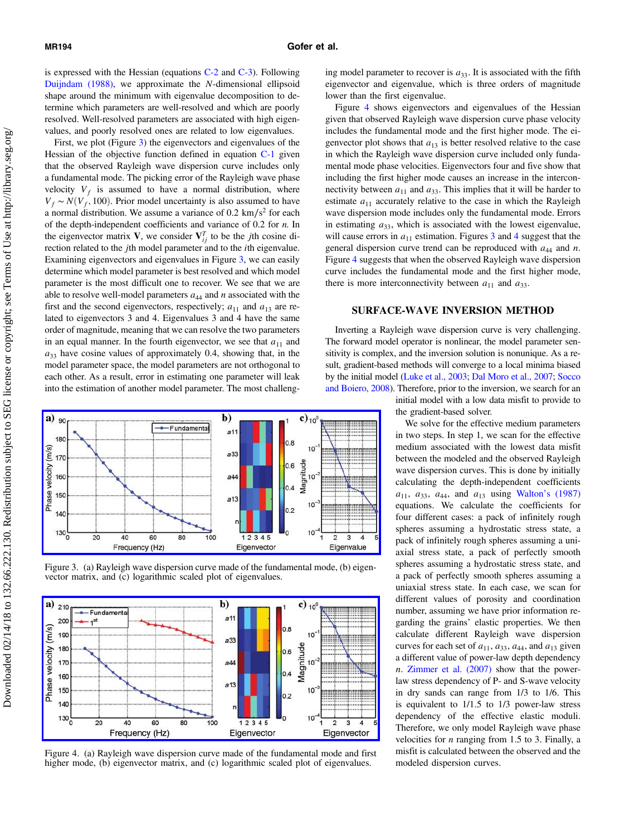is expressed with the Hessian (equations [C-2](#page-8-0) and [C-3\)](#page-8-0). Following [Duijndam \(1988\),](#page-9-0) we approximate the N-dimensional ellipsoid shape around the minimum with eigenvalue decomposition to determine which parameters are well-resolved and which are poorly resolved. Well-resolved parameters are associated with high eigenvalues, and poorly resolved ones are related to low eigenvalues.

First, we plot (Figure 3) the eigenvectors and eigenvalues of the Hessian of the objective function defined in equation [C-1](#page-8-0) given that the observed Rayleigh wave dispersion curve includes only a fundamental mode. The picking error of the Rayleigh wave phase velocity  $V_f$  is assumed to have a normal distribution, where  $V_f \sim N(V_f, 100)$ . Prior model uncertainty is also assumed to have a normal distribution. We assume a variance of 0.2 km/s<sup>2</sup> for each of the depth-independent coefficients and variance of  $0.2$  for  $n$ . In the eigenvector matrix V, we consider  $V_{ij}^T$  to be the *j*th cosine direction related to the jth model parameter and to the ith eigenvalue. Examining eigenvectors and eigenvalues in Figure 3, we can easily determine which model parameter is best resolved and which model parameter is the most difficult one to recover. We see that we are able to resolve well-model parameters  $a_{44}$  and n associated with the first and the second eigenvectors, respectively;  $a_{11}$  and  $a_{13}$  are related to eigenvectors 3 and 4. Eigenvalues 3 and 4 have the same order of magnitude, meaning that we can resolve the two parameters in an equal manner. In the fourth eigenvector, we see that  $a_{11}$  and  $a_{33}$  have cosine values of approximately 0.4, showing that, in the model parameter space, the model parameters are not orthogonal to each other. As a result, error in estimating one parameter will leak into the estimation of another model parameter. The most challeng-



Figure 3. (a) Rayleigh wave dispersion curve made of the fundamental mode, (b) eigenvector matrix, and (c) logarithmic scaled plot of eigenvalues.



Figure 4. (a) Rayleigh wave dispersion curve made of the fundamental mode and first higher mode, (b) eigenvector matrix, and (c) logarithmic scaled plot of eigenvalues.

ing model parameter to recover is  $a_{33}$ . It is associated with the fifth eigenvector and eigenvalue, which is three orders of magnitude lower than the first eigenvalue.

Figure 4 shows eigenvectors and eigenvalues of the Hessian given that observed Rayleigh wave dispersion curve phase velocity includes the fundamental mode and the first higher mode. The eigenvector plot shows that  $a_{13}$  is better resolved relative to the case in which the Rayleigh wave dispersion curve included only fundamental mode phase velocities. Eigenvectors four and five show that including the first higher mode causes an increase in the interconnectivity between  $a_{11}$  and  $a_{33}$ . This implies that it will be harder to estimate  $a_{11}$  accurately relative to the case in which the Rayleigh wave dispersion mode includes only the fundamental mode. Errors in estimating  $a_{33}$ , which is associated with the lowest eigenvalue, will cause errors in  $a_{11}$  estimation. Figures 3 and 4 suggest that the general dispersion curve trend can be reproduced with  $a_{44}$  and n. Figure 4 suggests that when the observed Rayleigh wave dispersion curve includes the fundamental mode and the first higher mode, there is more interconnectivity between  $a_{11}$  and  $a_{33}$ .

# SURFACE-WAVE INVERSION METHOD

Inverting a Rayleigh wave dispersion curve is very challenging. The forward model operator is nonlinear, the model parameter sensitivity is complex, and the inversion solution is nonunique. As a result, gradient-based methods will converge to a local minima biased by the initial model [\(Luke et al., 2003](#page-9-0); [Dal Moro et al., 2007;](#page-9-0) [Socco](#page-9-0) [and Boiero, 2008](#page-9-0)). Therefore, prior to the inversion, we search for an

initial model with a low data misfit to provide to the gradient-based solver.

We solve for the effective medium parameters in two steps. In step 1, we scan for the effective medium associated with the lowest data misfit between the modeled and the observed Rayleigh wave dispersion curves. This is done by initially calculating the depth-independent coefficients  $a_{11}$ ,  $a_{33}$ ,  $a_{44}$ , and  $a_{13}$  using Walton'[s \(1987\)](#page-9-0) equations. We calculate the coefficients for four different cases: a pack of infinitely rough spheres assuming a hydrostatic stress state, a pack of infinitely rough spheres assuming a uniaxial stress state, a pack of perfectly smooth spheres assuming a hydrostatic stress state, and a pack of perfectly smooth spheres assuming a uniaxial stress state. In each case, we scan for different values of porosity and coordination number, assuming we have prior information regarding the grains' elastic properties. We then calculate different Rayleigh wave dispersion curves for each set of  $a_{11}$ ,  $a_{33}$ ,  $a_{44}$ , and  $a_{13}$  given a different value of power-law depth dependency n. [Zimmer et al. \(2007\)](#page-9-0) show that the powerlaw stress dependency of P- and S-wave velocity in dry sands can range from 1/3 to 1/6. This is equivalent to 1/1.5 to 1/3 power-law stress dependency of the effective elastic moduli. Therefore, we only model Rayleigh wave phase velocities for  $n$  ranging from 1.5 to 3. Finally, a misfit is calculated between the observed and the modeled dispersion curves.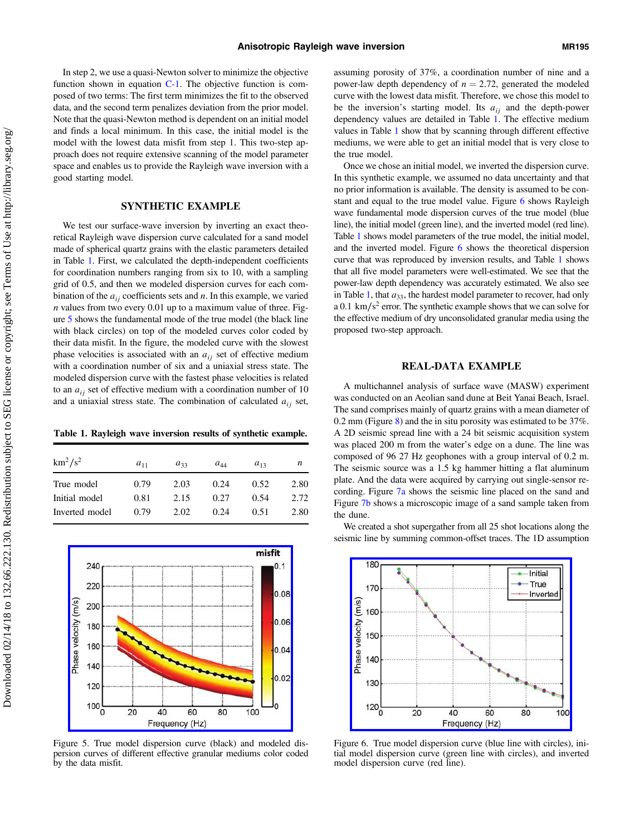In step 2, we use a quasi-Newton solver to minimize the objective function shown in equation  $C-1$ . The objective function is composed of two terms: The first term minimizes the fit to the observed data, and the second term penalizes deviation from the prior model. Note that the quasi-Newton method is dependent on an initial model and finds a local minimum. In this case, the initial model is the model with the lowest data misfit from step 1. This two-step approach does not require extensive scanning of the model parameter space and enables us to provide the Rayleigh wave inversion with a good starting model.

## SYNTHETIC EXAMPLE

We test our surface-wave inversion by inverting an exact theoretical Rayleigh wave dispersion curve calculated for a sand model made of spherical quartz grains with the elastic parameters detailed in Table 1. First, we calculated the depth-independent coefficients for coordination numbers ranging from six to 10, with a sampling grid of 0.5, and then we modeled dispersion curves for each combination of the  $a_{ij}$  coefficients sets and n. In this example, we varied  $n$  values from two every 0.01 up to a maximum value of three. Figure 5 shows the fundamental mode of the true model (the black line with black circles) on top of the modeled curves color coded by their data misfit. In the figure, the modeled curve with the slowest phase velocities is associated with an  $a_{ij}$  set of effective medium with a coordination number of six and a uniaxial stress state. The modeled dispersion curve with the fastest phase velocities is related to an  $a_{ij}$  set of effective medium with a coordination number of 10 and a uniaxial stress state. The combination of calculated  $a_{ij}$  set,

Table 1. Rayleigh wave inversion results of synthetic example.

| $a_{44}$<br>n<br>$a_{13}$ |
|---------------------------|
| 2.80<br>0.24<br>0.52      |
| 2.72<br>0.27<br>0.54      |
| 2.80<br>0.24<br>0.51      |
|                           |



Figure 5. True model dispersion curve (black) and modeled dispersion curves of different effective granular mediums color coded by the data misfit.

assuming porosity of 37%, a coordination number of nine and a power-law depth dependency of  $n = 2.72$ , generated the modeled curve with the lowest data misfit. Therefore, we chose this model to be the inversion's starting model. Its  $a_{ij}$  and the depth-power dependency values are detailed in Table 1. The effective medium values in Table 1 show that by scanning through different effective mediums, we were able to get an initial model that is very close to the true model.

Once we chose an initial model, we inverted the dispersion curve. In this synthetic example, we assumed no data uncertainty and that no prior information is available. The density is assumed to be constant and equal to the true model value. Figure 6 shows Rayleigh wave fundamental mode dispersion curves of the true model (blue line), the initial model (green line), and the inverted model (red line). Table 1 shows model parameters of the true model, the initial model, and the inverted model. Figure 6 shows the theoretical dispersion curve that was reproduced by inversion results, and Table 1 shows that all five model parameters were well-estimated. We see that the power-law depth dependency was accurately estimated. We also see in Table 1, that  $a_{33}$ , the hardest model parameter to recover, had only a 0.1 km∕s<sup>2</sup> error. The synthetic example shows that we can solve for the effective medium of dry unconsolidated granular media using the proposed two-step approach.

# REAL-DATA EXAMPLE

A multichannel analysis of surface wave (MASW) experiment was conducted on an Aeolian sand dune at Beit Yanai Beach, Israel. The sand comprises mainly of quartz grains with a mean diameter of 0.2 mm (Figure [8\)](#page-5-0) and the in situ porosity was estimated to be 37%. A 2D seismic spread line with a 24 bit seismic acquisition system was placed 200 m from the water's edge on a dune. The line was composed of 96 27 Hz geophones with a group interval of 0.2 m. The seismic source was a 1.5 kg hammer hitting a flat aluminum plate. And the data were acquired by carrying out single-sensor recording. Figure [7a](#page-5-0) shows the seismic line placed on the sand and Figure [7b](#page-5-0) shows a microscopic image of a sand sample taken from the dune.

We created a shot supergather from all 25 shot locations along the seismic line by summing common-offset traces. The 1D assumption



Figure 6. True model dispersion curve (blue line with circles), initial model dispersion curve (green line with circles), and inverted model dispersion curve (red line).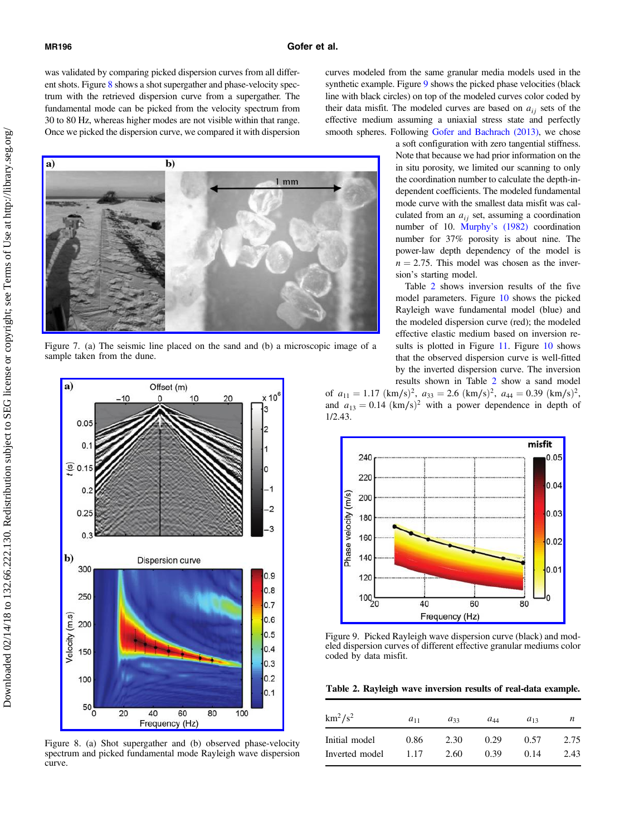<span id="page-5-0"></span>was validated by comparing picked dispersion curves from all different shots. Figure 8 shows a shot supergather and phase-velocity spectrum with the retrieved dispersion curve from a supergather. The fundamental mode can be picked from the velocity spectrum from 30 to 80 Hz, whereas higher modes are not visible within that range. Once we picked the dispersion curve, we compared it with dispersion

a)  $$  $1<sub>mm</sub>$ 

Figure 7. (a) The seismic line placed on the sand and (b) a microscopic image of a sample taken from the dune.



Figure 8. (a) Shot supergather and (b) observed phase-velocity spectrum and picked fundamental mode Rayleigh wave dispersion curve.

curves modeled from the same granular media models used in the synthetic example. Figure 9 shows the picked phase velocities (black line with black circles) on top of the modeled curves color coded by their data misfit. The modeled curves are based on  $a_{ii}$  sets of the effective medium assuming a uniaxial stress state and perfectly smooth spheres. Following [Gofer and Bachrach \(2013\),](#page-9-0) we chose

> a soft configuration with zero tangential stiffness. Note that because we had prior information on the in situ porosity, we limited our scanning to only the coordination number to calculate the depth-independent coefficients. The modeled fundamental mode curve with the smallest data misfit was calculated from an  $a_{ij}$  set, assuming a coordination number of 10. Murphy'[s \(1982\)](#page-9-0) coordination number for 37% porosity is about nine. The power-law depth dependency of the model is  $n = 2.75$ . This model was chosen as the inversion's starting model.

Table 2 shows inversion results of the five model parameters. Figure [10](#page-6-0) shows the picked Rayleigh wave fundamental model (blue) and the modeled dispersion curve (red); the modeled effective elastic medium based on inversion re-sults is plotted in Figure [11.](#page-6-0) Figure [10](#page-6-0) shows that the observed dispersion curve is well-fitted by the inverted dispersion curve. The inversion results shown in Table 2 show a sand model of  $a_{11} = 1.17 \text{ (km/s)}^2$ ,  $a_{33} = 2.6 \text{ (km/s)}^2$ ,  $a_{44} = 0.39 \text{ (km/s)}^2$ ,



and  $a_{13} = 0.14$  (km/s)<sup>2</sup> with a power dependence in depth of

Figure 9. Picked Rayleigh wave dispersion curve (black) and modeled dispersion curves of different effective granular mediums color coded by data misfit.

Table 2. Rayleigh wave inversion results of real-data example.

| $km^2/s^2$     | $a_{11}$ | $a_{33}$ | $a_{44}$ | $a_{12}$ | n    |
|----------------|----------|----------|----------|----------|------|
| Initial model  | 0.86     | 2.30     | 0.29     | 0.57     | 2.75 |
| Inverted model | 1.17     | 2.60     | 0.39     | 0.14     | 2.43 |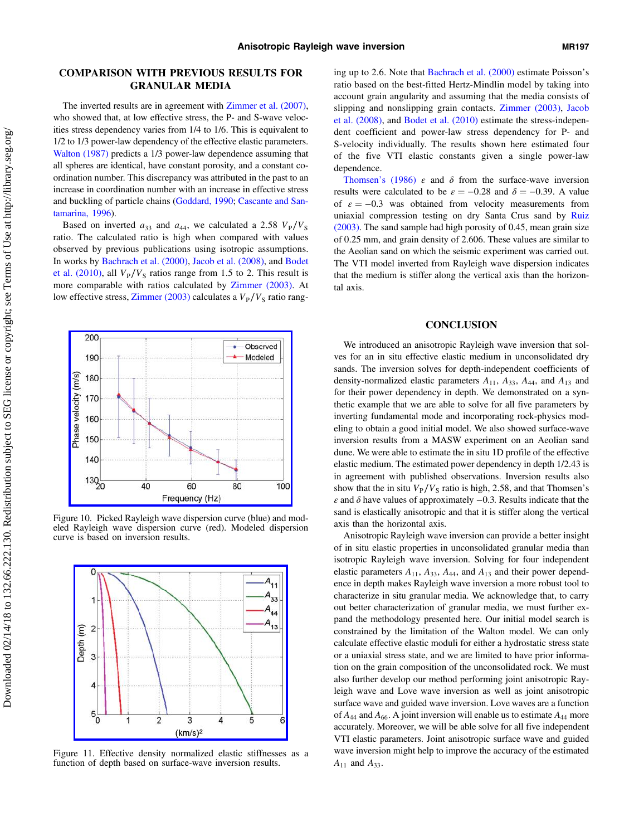200

190

 $130_{20}$ 

Phase velocity (m/s)

# <span id="page-6-0"></span>COMPARISON WITH PREVIOUS RESULTS FOR GRANULAR MEDIA

The inverted results are in agreement with [Zimmer et al. \(2007\),](#page-9-0) who showed that, at low effective stress, the P- and S-wave velocities stress dependency varies from 1/4 to 1/6. This is equivalent to 1/2 to 1/3 power-law dependency of the effective elastic parameters. [Walton \(1987\)](#page-9-0) predicts a 1/3 power-law dependence assuming that all spheres are identical, have constant porosity, and a constant coordination number. This discrepancy was attributed in the past to an increase in coordination number with an increase in effective stress and buckling of particle chains ([Goddard, 1990](#page-9-0); [Cascante and San](#page-9-0)[tamarina, 1996](#page-9-0)).

Based on inverted  $a_{33}$  and  $a_{44}$ , we calculated a 2.58  $V_P/V_S$ ratio. The calculated ratio is high when compared with values observed by previous publications using isotropic assumptions. In works by [Bachrach et al. \(2000\),](#page-9-0) [Jacob et al. \(2008\)](#page-9-0), and [Bodet](#page-9-0) [et al. \(2010\)](#page-9-0), all  $V_P/V_S$  ratios range from 1.5 to 2. This result is more comparable with ratios calculated by [Zimmer \(2003\).](#page-9-0) At low effective stress, [Zimmer \(2003\)](#page-9-0) calculates a  $V_P/V_S$  ratio rang-

Observed

Modeled

80

100

Figure 10. Picked Rayleigh wave dispersion curve (blue) and modeled Rayleigh wave dispersion curve (red). Modeled dispersion curve is based on inversion results.

60 Frequency (Hz)

40



Figure 11. Effective density normalized elastic stiffnesses as a function of depth based on surface-wave inversion results.

ing up to 2.6. Note that [Bachrach et al. \(2000\)](#page-9-0) estimate Poisson's ratio based on the best-fitted Hertz-Mindlin model by taking into account grain angularity and assuming that the media consists of slipping and nonslipping grain contacts. [Zimmer \(2003\)](#page-9-0), [Jacob](#page-9-0) [et al. \(2008\),](#page-9-0) and [Bodet et al. \(2010\)](#page-9-0) estimate the stress-independent coefficient and power-law stress dependency for P- and S-velocity individually. The results shown here estimated four of the five VTI elastic constants given a single power-law dependence.

[Thomsen](#page-9-0)'s (1986)  $\varepsilon$  and  $\delta$  from the surface-wave inversion results were calculated to be  $\varepsilon = -0.28$  and  $\delta = -0.39$ . A value of  $\varepsilon = -0.3$  was obtained from velocity measurements from uniaxial compression testing on dry Santa Crus sand by [Ruiz](#page-9-0) [\(2003\).](#page-9-0) The sand sample had high porosity of 0.45, mean grain size of 0.25 mm, and grain density of 2.606. These values are similar to the Aeolian sand on which the seismic experiment was carried out. The VTI model inverted from Rayleigh wave dispersion indicates that the medium is stiffer along the vertical axis than the horizontal axis.

#### **CONCLUSION**

We introduced an anisotropic Rayleigh wave inversion that solves for an in situ effective elastic medium in unconsolidated dry sands. The inversion solves for depth-independent coefficients of density-normalized elastic parameters  $A_{11}$ ,  $A_{33}$ ,  $A_{44}$ , and  $A_{13}$  and for their power dependency in depth. We demonstrated on a synthetic example that we are able to solve for all five parameters by inverting fundamental mode and incorporating rock-physics modeling to obtain a good initial model. We also showed surface-wave inversion results from a MASW experiment on an Aeolian sand dune. We were able to estimate the in situ 1D profile of the effective elastic medium. The estimated power dependency in depth 1/2.43 is in agreement with published observations. Inversion results also show that the in situ  $V_P/V_S$  ratio is high, 2.58, and that Thomsen's  $\varepsilon$  and  $\delta$  have values of approximately  $-0.3$ . Results indicate that the sand is elastically anisotropic and that it is stiffer along the vertical axis than the horizontal axis.

Anisotropic Rayleigh wave inversion can provide a better insight of in situ elastic properties in unconsolidated granular media than isotropic Rayleigh wave inversion. Solving for four independent elastic parameters  $A_{11}$ ,  $A_{33}$ ,  $A_{44}$ , and  $A_{13}$  and their power dependence in depth makes Rayleigh wave inversion a more robust tool to characterize in situ granular media. We acknowledge that, to carry out better characterization of granular media, we must further expand the methodology presented here. Our initial model search is constrained by the limitation of the Walton model. We can only calculate effective elastic moduli for either a hydrostatic stress state or a uniaxial stress state, and we are limited to have prior information on the grain composition of the unconsolidated rock. We must also further develop our method performing joint anisotropic Rayleigh wave and Love wave inversion as well as joint anisotropic surface wave and guided wave inversion. Love waves are a function of  $A_{44}$  and  $A_{66}$ . A joint inversion will enable us to estimate  $A_{44}$  more accurately. Moreover, we will be able solve for all five independent VTI elastic parameters. Joint anisotropic surface wave and guided wave inversion might help to improve the accuracy of the estimated  $A_{11}$  and  $A_{33}$ .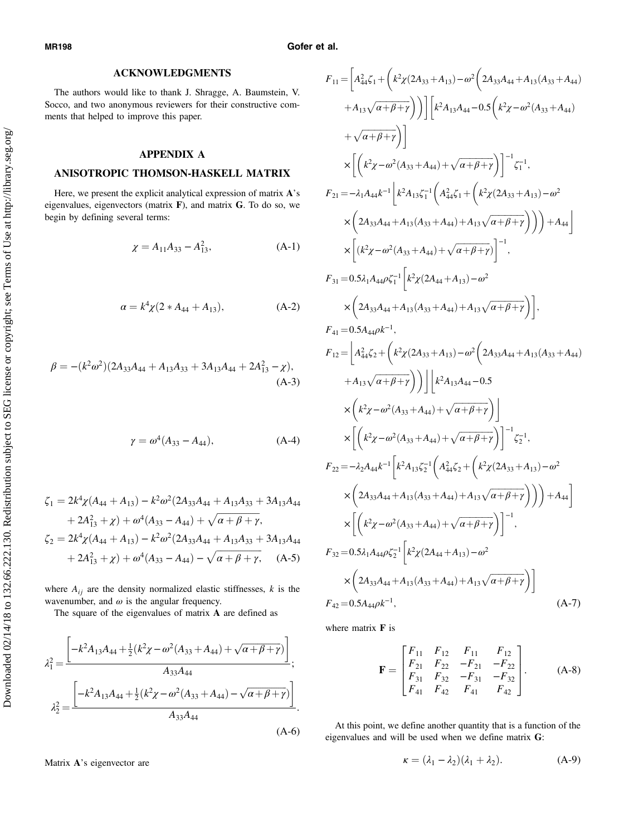Downloaded 02/14/18 to 132.66.222.130. Redistribution subject to SEG license or copyright; see Terms of Use at http://library.seg.org/ Downloaded 02/14/18 to 132.66.222.130. Redistribution subject to SEG license or copyright; see Terms of Use at http://library.seg.org/ <span id="page-7-0"></span>MR198 Gofer et al.

## ACKNOWLEDGMENTS

The authors would like to thank J. Shragge, A. Baumstein, V. Socco, and two anonymous reviewers for their constructive comments that helped to improve this paper.

## APPENDIX A

# ANISOTROPIC THOMSON-HASKELL MATRIX

Here, we present the explicit analytical expression of matrix A's eigenvalues, eigenvectors (matrix F), and matrix G. To do so, we begin by defining several terms:

$$
\chi = A_{11}A_{33} - A_{13}^2, \tag{A-1}
$$

$$
\alpha = k^4 \chi (2 * A_{44} + A_{13}), \tag{A-2}
$$

$$
\beta = -(k^2 \omega^2)(2A_{33}A_{44} + A_{13}A_{33} + 3A_{13}A_{44} + 2A_{13}^2 - \chi),
$$
\n(A-3)

$$
\gamma = \omega^4 (A_{33} - A_{44}), \tag{A-4}
$$

$$
\zeta_1 = 2k^4 \chi (A_{44} + A_{13}) - k^2 \omega^2 (2A_{33}A_{44} + A_{13}A_{33} + 3A_{13}A_{44} + 2A_{13}^2 + \chi) + \omega^4 (A_{33} - A_{44}) + \sqrt{\alpha + \beta + \gamma},
$$
  

$$
\zeta_2 = 2k^4 \chi (A_{44} + A_{13}) - k^2 \omega^2 (2A_{33}A_{44} + A_{13}A_{33} + 3A_{13}A_{44} + 2A_{13}^2 + \chi) + \omega^4 (A_{33} - A_{44}) - \sqrt{\alpha + \beta + \gamma}, \quad (A-5)
$$

where  $A_{ij}$  are the density normalized elastic stiffnesses, k is the wavenumber, and  $\omega$  is the angular frequency.

The square of the eigenvalues of matrix A are defined as

$$
\lambda_1^2 = \frac{\left[ -k^2 A_{13} A_{44} + \frac{1}{2} (k^2 \chi - \omega^2 (A_{33} + A_{44}) + \sqrt{\alpha + \beta + \gamma}) \right]}{A_{33} A_{44}},
$$

$$
\lambda_2^2 = \frac{\left[ -k^2 A_{13} A_{44} + \frac{1}{2} (k^2 \chi - \omega^2 (A_{33} + A_{44}) - \sqrt{\alpha + \beta + \gamma}) \right]}{A_{33} A_{44}}.
$$
(A-6)

Matrix A's eigenvector are

$$
F_{11} = \left[A_{44}^{2}\zeta_{1} + \left(k^{2}\chi(2A_{33}+A_{13}) - \omega^{2}\left(2A_{33}A_{44}+A_{13}(A_{33}+A_{44})\right.\right.\n+ A_{13}\sqrt{\alpha+\beta+\gamma}\right)\right]\left[k^{2}A_{13}A_{44} - 0.5\left(k^{2}\chi - \omega^{2}(A_{33}+A_{44})\right.\n+ \sqrt{\alpha+\beta+\gamma}\right)\right]\times\left[\left(k^{2}\chi - \omega^{2}(A_{33}+A_{44}) + \sqrt{\alpha+\beta+\gamma}\right)\right]^{-1}\zeta_{1}^{-1},
$$
\n
$$
F_{21} = -\lambda_{1}A_{44}k^{-1}\left[k^{2}A_{13}\zeta_{1}^{-1}\left(A_{44}^{2}\zeta_{1} + \left(k^{2}\chi(2A_{33}+A_{13}) - \omega^{2}\right)\right.\right.\n\times\left(2A_{33}A_{44} + A_{13}(A_{33}+A_{44}) + A_{13}\sqrt{\alpha+\beta+\gamma}\right)\right)\right)+A_{44}\right]\times\left[(k^{2}\chi - \omega^{2}(A_{33}+A_{44}) + \sqrt{\alpha+\beta+\gamma})\right]^{-1},
$$
\n
$$
F_{31} = 0.5\lambda_{1}A_{44}\rho\zeta_{1}^{-1}\left[k^{2}\chi(2A_{44}+A_{13}) - \omega^{2}\right.\right.\n\times\left(2A_{33}A_{44} + A_{13}(A_{33}+A_{44}) + A_{13}\sqrt{\alpha+\beta+\gamma}\right)\right],
$$
\n
$$
F_{41} = 0.5A_{44}\rho k^{-1},
$$
\n
$$
F_{12} = \left[A_{44}^{2}\zeta_{2} + \left(k^{2}\chi(2A_{33}+A_{43}) - \omega^{2}\left(2A_{33}A_{44}+A_{13}(A_{33}+A_{44}) + A_{13}\sqrt{\alpha+\beta+\gamma}\right)\right]\right.\times\left[\left(k^{2}\chi - \omega^{2}(A_{33}+A_{44}) + \sqrt{\alpha+\beta+\gamma}\right)\right]\times\left[\left(k^{2}\chi - \omega^{2}(A_{33}+A_{44}) + \sqrt{\alpha+\beta+\gamma
$$

where matrix **F** is

$$
\mathbf{F} = \begin{bmatrix} F_{11} & F_{12} & F_{11} & F_{12} \\ F_{21} & F_{22} & -F_{21} & -F_{22} \\ F_{31} & F_{32} & -F_{31} & -F_{32} \\ F_{41} & F_{42} & F_{41} & F_{42} \end{bmatrix} .
$$
 (A-8)

At this point, we define another quantity that is a function of the eigenvalues and will be used when we define matrix G:

$$
\kappa = (\lambda_1 - \lambda_2)(\lambda_1 + \lambda_2). \tag{A-9}
$$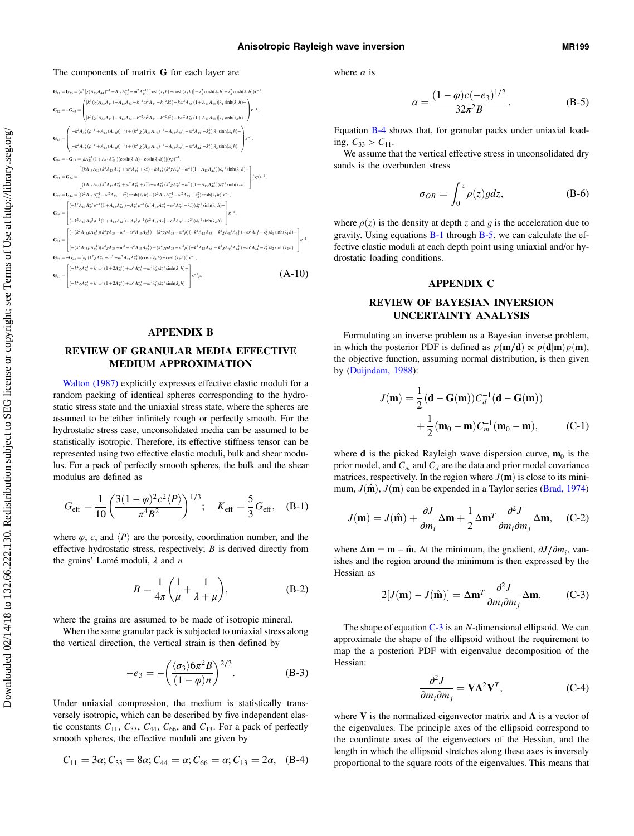#### <span id="page-8-0"></span>The components of matrix G for each layer are



#### APPENDIX B

## REVIEW OF GRANULAR MEDIA EFFECTIVE MEDIUM APPROXIMATION

[Walton \(1987\)](#page-9-0) explicitly expresses effective elastic moduli for a random packing of identical spheres corresponding to the hydrostatic stress state and the uniaxial stress state, where the spheres are assumed to be either infinitely rough or perfectly smooth. For the hydrostatic stress case, unconsolidated media can be assumed to be statistically isotropic. Therefore, its effective stiffness tensor can be represented using two effective elastic moduli, bulk and shear modulus. For a pack of perfectly smooth spheres, the bulk and the shear modulus are defined as

$$
G_{\rm eff} = \frac{1}{10} \left( \frac{3(1-\varphi)^2 c^2 \langle P \rangle}{\pi^4 B^2} \right)^{1/3}; \quad K_{\rm eff} = \frac{5}{3} G_{\rm eff}, \quad (B-1)
$$

where  $\varphi$ , c, and  $\langle P \rangle$  are the porosity, coordination number, and the effective hydrostatic stress, respectively;  $B$  is derived directly from the grains' Lamé moduli,  $\lambda$  and  $n$ 

$$
B = \frac{1}{4\pi} \left( \frac{1}{\mu} + \frac{1}{\lambda + \mu} \right),
$$
 (B-2)

where the grains are assumed to be made of isotropic mineral.

When the same granular pack is subjected to uniaxial stress along the vertical direction, the vertical strain is then defined by

$$
-e_3 = -\left(\frac{\langle \sigma_3 \rangle 6\pi^2 B}{(1-\varphi)n}\right)^{2/3}.
$$
 (B-3)

Under uniaxial compression, the medium is statistically transversely isotropic, which can be described by five independent elastic constants  $C_{11}$ ,  $C_{33}$ ,  $C_{44}$ ,  $C_{66}$ , and  $C_{13}$ . For a pack of perfectly smooth spheres, the effective moduli are given by

$$
C_{11} = 3\alpha; C_{33} = 8\alpha; C_{44} = \alpha; C_{66} = \alpha; C_{13} = 2\alpha, \quad (B-4)
$$

where  $\alpha$  is

$$
\alpha = \frac{(1 - \varphi)c(-e_3)^{1/2}}{32\pi^2 B}.
$$
 (B-5)

Equation B-4 shows that, for granular packs under uniaxial loading,  $C_{33} > C_{11}$ .

We assume that the vertical effective stress in unconsolidated dry sands is the overburden stress

$$
\sigma_{OB} = \int_0^z \rho(z) g dz, \tag{B-6}
$$

where  $\rho(z)$  is the density at depth z and g is the acceleration due to gravity. Using equations B-1 through B-5, we can calculate the effective elastic moduli at each depth point using uniaxial and/or hydrostatic loading conditions.

## APPENDIX C

## REVIEW OF BAYESIAN INVERSION UNCERTAINTY ANALYSIS

Formulating an inverse problem as a Bayesian inverse problem, in which the posterior PDF is defined as  $p(\mathbf{m}/\mathbf{d}) \propto p(\mathbf{d}|\mathbf{m})p(\mathbf{m})$ , the objective function, assuming normal distribution, is then given by ([Duijndam, 1988\)](#page-9-0):

$$
J(\mathbf{m}) = \frac{1}{2} (\mathbf{d} - \mathbf{G}(\mathbf{m})) C_d^{-1} (\mathbf{d} - \mathbf{G}(\mathbf{m}))
$$
  
+ 
$$
\frac{1}{2} (\mathbf{m}_0 - \mathbf{m}) C_m^{-1} (\mathbf{m}_0 - \mathbf{m}),
$$
 (C-1)

where **d** is the picked Rayleigh wave dispersion curve,  $\mathbf{m}_0$  is the prior model, and  $C_m$  and  $C_d$  are the data and prior model covariance matrices, respectively. In the region where  $J(\mathbf{m})$  is close to its minimum,  $J(\hat{\mathbf{m}})$ ,  $J(\mathbf{m})$  can be expended in a Taylor series ([Brad, 1974\)](#page-9-0)

$$
J(\mathbf{m}) = J(\hat{\mathbf{m}}) + \frac{\partial J}{\partial m_i} \Delta \mathbf{m} + \frac{1}{2} \Delta \mathbf{m}^T \frac{\partial^2 J}{\partial m_i \partial m_j} \Delta \mathbf{m}, \quad \text{(C-2)}
$$

where  $\Delta m = m - \hat{m}$ . At the minimum, the gradient,  $\partial J/\partial m_i$ , vanishes and the region around the minimum is then expressed by the Hessian as

$$
2[J(\mathbf{m}) - J(\hat{\mathbf{m}})] = \Delta \mathbf{m}^T \frac{\partial^2 J}{\partial m_i \partial m_j} \Delta \mathbf{m}.
$$
 (C-3)

The shape of equation  $C-3$  is an N-dimensional ellipsoid. We can approximate the shape of the ellipsoid without the requirement to map the a posteriori PDF with eigenvalue decomposition of the Hessian:

$$
\frac{\partial^2 J}{\partial m_i \partial m_j} = \mathbf{V} \Lambda^2 \mathbf{V}^T, \qquad (C-4)
$$

where V is the normalized eigenvector matrix and  $\Lambda$  is a vector of the eigenvalues. The principle axes of the ellipsoid correspond to the coordinate axes of the eigenvectors of the Hessian, and the length in which the ellipsoid stretches along these axes is inversely proportional to the square roots of the eigenvalues. This means that